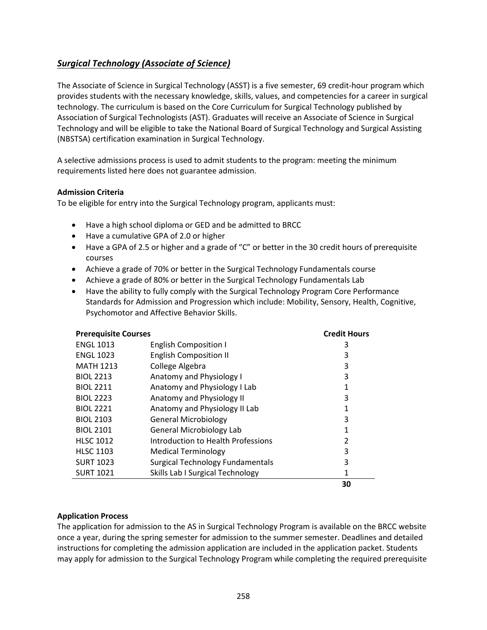# <span id="page-0-0"></span>*[Surgical Technology \(Associate of Science\)](#page-0-0)*

The Associate of Science in Surgical Technology (ASST) is a five semester, 69 credit-hour program which provides students with the necessary knowledge, skills, values, and competencies for a career in surgical technology. The curriculum is based on the Core Curriculum for Surgical Technology published by Association of Surgical Technologists (AST). Graduates will receive an Associate of Science in Surgical Technology and will be eligible to take the National Board of Surgical Technology and Surgical Assisting (NBSTSA) certification examination in Surgical Technology.

A selective admissions process is used to admit students to the program: meeting the minimum requirements listed here does not guarantee admission.

## **Admission Criteria**

To be eligible for entry into the Surgical Technology program, applicants must:

- Have a high school diploma or GED and be admitted to BRCC
- Have a cumulative GPA of 2.0 or higher
- Have a GPA of 2.5 or higher and a grade of "C" or better in the 30 credit hours of prerequisite courses
- Achieve a grade of 70% or better in the Surgical Technology Fundamentals course
- Achieve a grade of 80% or better in the Surgical Technology Fundamentals Lab
- Have the ability to fully comply with the Surgical Technology Program Core Performance Standards for Admission and Progression which include: Mobility, Sensory, Health, Cognitive, Psychomotor and Affective Behavior Skills.

| <b>Prerequisite Courses</b> |                                         | <b>Credit Hours</b> |
|-----------------------------|-----------------------------------------|---------------------|
| <b>ENGL 1013</b>            | <b>English Composition I</b>            | 3                   |
| <b>ENGL 1023</b>            | <b>English Composition II</b>           | 3                   |
| <b>MATH 1213</b>            | College Algebra                         | 3                   |
| <b>BIOL 2213</b>            | Anatomy and Physiology I                | 3                   |
| <b>BIOL 2211</b>            | Anatomy and Physiology I Lab            | 1                   |
| <b>BIOL 2223</b>            | Anatomy and Physiology II               | 3                   |
| <b>BIOL 2221</b>            | Anatomy and Physiology II Lab           | 1                   |
| <b>BIOL 2103</b>            | <b>General Microbiology</b>             | 3                   |
| <b>BIOL 2101</b>            | <b>General Microbiology Lab</b>         | 1                   |
| <b>HLSC 1012</b>            | Introduction to Health Professions      | 2                   |
| <b>HLSC 1103</b>            | <b>Medical Terminology</b>              | 3                   |
| <b>SURT 1023</b>            | <b>Surgical Technology Fundamentals</b> | 3                   |
| <b>SURT 1021</b>            | Skills Lab I Surgical Technology        | 1                   |
|                             |                                         | 30                  |

#### **Application Process**

The application for admission to the AS in Surgical Technology Program is available on the BRCC website once a year, during the spring semester for admission to the summer semester. Deadlines and detailed instructions for completing the admission application are included in the application packet. Students may apply for admission to the Surgical Technology Program while completing the required prerequisite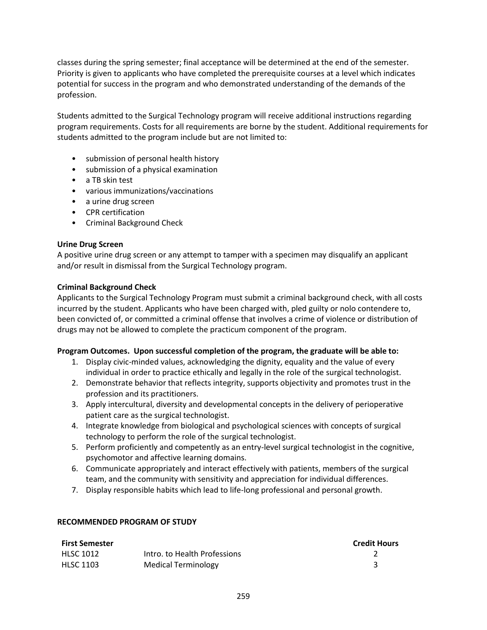classes during the spring semester; final acceptance will be determined at the end of the semester. Priority is given to applicants who have completed the prerequisite courses at a level which indicates potential for success in the program and who demonstrated understanding of the demands of the profession.

Students admitted to the Surgical Technology program will receive additional instructions regarding program requirements. Costs for all requirements are borne by the student. Additional requirements for students admitted to the program include but are not limited to:

- submission of personal health history
- submission of a physical examination
- a TB skin test
- various immunizations/vaccinations
- a urine drug screen
- CPR certification
- Criminal Background Check

## **Urine Drug Screen**

A positive urine drug screen or any attempt to tamper with a specimen may disqualify an applicant and/or result in dismissal from the Surgical Technology program.

## **Criminal Background Check**

Applicants to the Surgical Technology Program must submit a criminal background check, with all costs incurred by the student. Applicants who have been charged with, pled guilty or nolo contendere to, been convicted of, or committed a criminal offense that involves a crime of violence or distribution of drugs may not be allowed to complete the practicum component of the program.

# **Program Outcomes. Upon successful completion of the program, the graduate will be able to:**

- 1. Display civic-minded values, acknowledging the dignity, equality and the value of every individual in order to practice ethically and legally in the role of the surgical technologist.
- 2. Demonstrate behavior that reflects integrity, supports objectivity and promotes trust in the profession and its practitioners.
- 3. Apply intercultural, diversity and developmental concepts in the delivery of perioperative patient care as the surgical technologist.
- 4. Integrate knowledge from biological and psychological sciences with concepts of surgical technology to perform the role of the surgical technologist.
- 5. Perform proficiently and competently as an entry-level surgical technologist in the cognitive, psychomotor and affective learning domains.
- 6. Communicate appropriately and interact effectively with patients, members of the surgical team, and the community with sensitivity and appreciation for individual differences.
- 7. Display responsible habits which lead to life-long professional and personal growth.

#### **RECOMMENDED PROGRAM OF STUDY**

| <b>First Semester</b> |                              | <b>Credit Hours</b> |
|-----------------------|------------------------------|---------------------|
| HLSC 1012             | Intro, to Health Professions |                     |
| <b>HLSC 1103</b>      | Medical Terminology          |                     |